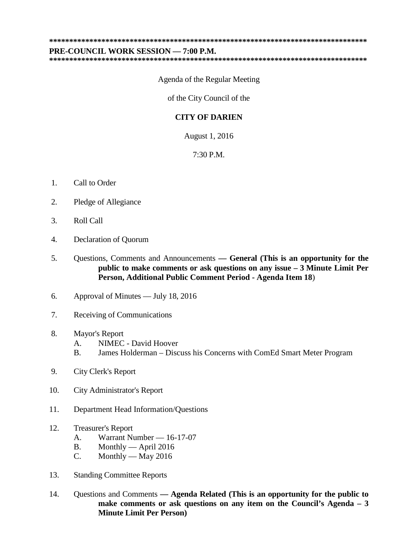**\*\*\*\*\*\*\*\*\*\*\*\*\*\*\*\*\*\*\*\*\*\*\*\*\*\*\*\*\*\*\*\*\*\*\*\*\*\*\*\*\*\*\*\*\*\*\*\*\*\*\*\*\*\*\*\*\*\*\*\*\*\*\*\*\*\*\*\*\*\*\*\*\*\*\*\*\*\*\***

## **PRE-COUNCIL WORK SESSION — 7:00 P.M.**

**\*\*\*\*\*\*\*\*\*\*\*\*\*\*\*\*\*\*\*\*\*\*\*\*\*\*\*\*\*\*\*\*\*\*\*\*\*\*\*\*\*\*\*\*\*\*\*\*\*\*\*\*\*\*\*\*\*\*\*\*\*\*\*\*\*\*\*\*\*\*\*\*\*\*\*\*\*\*\***

Agenda of the Regular Meeting

of the City Council of the

## **CITY OF DARIEN**

August 1, 2016

7:30 P.M.

- 1. Call to Order
- 2. Pledge of Allegiance
- 3. Roll Call
- 4. Declaration of Quorum
- 5. Questions, Comments and Announcements **— General (This is an opportunity for the public to make comments or ask questions on any issue – 3 Minute Limit Per Person, Additional Public Comment Period - Agenda Item 18**)
- 6. Approval of Minutes July 18, 2016
- 7. Receiving of Communications
- 8. Mayor's Report
	- A. NIMEC David Hoover
	- B. James Holderman Discuss his Concerns with ComEd Smart Meter Program
- 9. City Clerk's Report
- 10. City Administrator's Report
- 11. Department Head Information/Questions
- 12. Treasurer's Report
	- A. Warrant Number 16-17-07
	- B. Monthly April 2016
	- C. Monthly May 2016
- 13. Standing Committee Reports
- 14. Questions and Comments **— Agenda Related (This is an opportunity for the public to make comments or ask questions on any item on the Council's Agenda – 3 Minute Limit Per Person)**